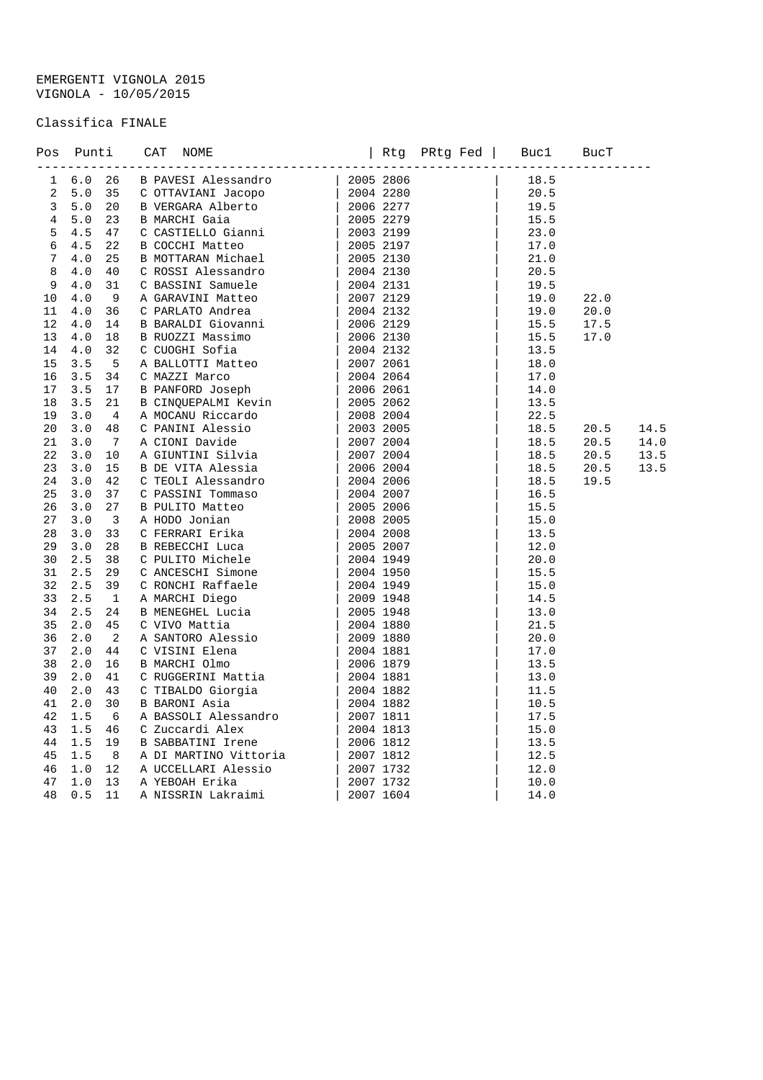## EMERGENTI VIGNOLA 2015 VIGNOLA - 10/05/2015

## Classifica FINALE

|  |  | 70 Punti CAY NORTH-Hermannical (180 PM2) 2008 2004<br>18.6 26 B. PAVMSS Alexandro (1805-2008) 2005 2008<br>18.6 26 B. PAVMSH (1991) 2005 2008<br>18.6 2008 2009 2009<br>18.6 2008 2009 2009 2009 2009 2009<br>18.6 2009 2009 2009 2009 |  |  |             |                                |      |
|--|--|----------------------------------------------------------------------------------------------------------------------------------------------------------------------------------------------------------------------------------------|--|--|-------------|--------------------------------|------|
|  |  |                                                                                                                                                                                                                                        |  |  |             |                                |      |
|  |  |                                                                                                                                                                                                                                        |  |  |             |                                |      |
|  |  |                                                                                                                                                                                                                                        |  |  |             |                                |      |
|  |  |                                                                                                                                                                                                                                        |  |  |             |                                |      |
|  |  |                                                                                                                                                                                                                                        |  |  |             |                                |      |
|  |  |                                                                                                                                                                                                                                        |  |  |             |                                |      |
|  |  |                                                                                                                                                                                                                                        |  |  |             |                                |      |
|  |  |                                                                                                                                                                                                                                        |  |  |             |                                |      |
|  |  |                                                                                                                                                                                                                                        |  |  |             |                                |      |
|  |  |                                                                                                                                                                                                                                        |  |  | 19.0 22.0   |                                |      |
|  |  |                                                                                                                                                                                                                                        |  |  |             | 20.0                           |      |
|  |  |                                                                                                                                                                                                                                        |  |  | $15.5$ 17.5 |                                |      |
|  |  |                                                                                                                                                                                                                                        |  |  | 15.5        | 17.0                           |      |
|  |  |                                                                                                                                                                                                                                        |  |  |             |                                |      |
|  |  |                                                                                                                                                                                                                                        |  |  |             |                                |      |
|  |  |                                                                                                                                                                                                                                        |  |  |             |                                |      |
|  |  |                                                                                                                                                                                                                                        |  |  |             |                                |      |
|  |  |                                                                                                                                                                                                                                        |  |  |             |                                |      |
|  |  |                                                                                                                                                                                                                                        |  |  |             |                                |      |
|  |  |                                                                                                                                                                                                                                        |  |  |             | 18.5 20.5                      | 14.5 |
|  |  |                                                                                                                                                                                                                                        |  |  |             | 18.5 20.5                      | 14.0 |
|  |  |                                                                                                                                                                                                                                        |  |  |             | $18.5$ $20.5$<br>$18.5$ $20.5$ | 13.5 |
|  |  |                                                                                                                                                                                                                                        |  |  |             |                                | 13.5 |
|  |  |                                                                                                                                                                                                                                        |  |  |             | 18.5 19.5                      |      |
|  |  |                                                                                                                                                                                                                                        |  |  |             |                                |      |
|  |  |                                                                                                                                                                                                                                        |  |  |             |                                |      |
|  |  |                                                                                                                                                                                                                                        |  |  |             |                                |      |
|  |  |                                                                                                                                                                                                                                        |  |  |             |                                |      |
|  |  |                                                                                                                                                                                                                                        |  |  |             |                                |      |
|  |  |                                                                                                                                                                                                                                        |  |  |             |                                |      |
|  |  |                                                                                                                                                                                                                                        |  |  |             |                                |      |
|  |  |                                                                                                                                                                                                                                        |  |  |             |                                |      |
|  |  |                                                                                                                                                                                                                                        |  |  |             |                                |      |
|  |  |                                                                                                                                                                                                                                        |  |  |             |                                |      |
|  |  |                                                                                                                                                                                                                                        |  |  |             |                                |      |
|  |  |                                                                                                                                                                                                                                        |  |  |             |                                |      |
|  |  |                                                                                                                                                                                                                                        |  |  |             |                                |      |
|  |  |                                                                                                                                                                                                                                        |  |  |             |                                |      |
|  |  |                                                                                                                                                                                                                                        |  |  |             |                                |      |
|  |  |                                                                                                                                                                                                                                        |  |  |             |                                |      |
|  |  |                                                                                                                                                                                                                                        |  |  |             |                                |      |
|  |  |                                                                                                                                                                                                                                        |  |  |             |                                |      |
|  |  |                                                                                                                                                                                                                                        |  |  |             |                                |      |
|  |  |                                                                                                                                                                                                                                        |  |  |             |                                |      |
|  |  |                                                                                                                                                                                                                                        |  |  |             |                                |      |
|  |  |                                                                                                                                                                                                                                        |  |  |             |                                |      |
|  |  |                                                                                                                                                                                                                                        |  |  |             |                                |      |
|  |  |                                                                                                                                                                                                                                        |  |  |             |                                |      |